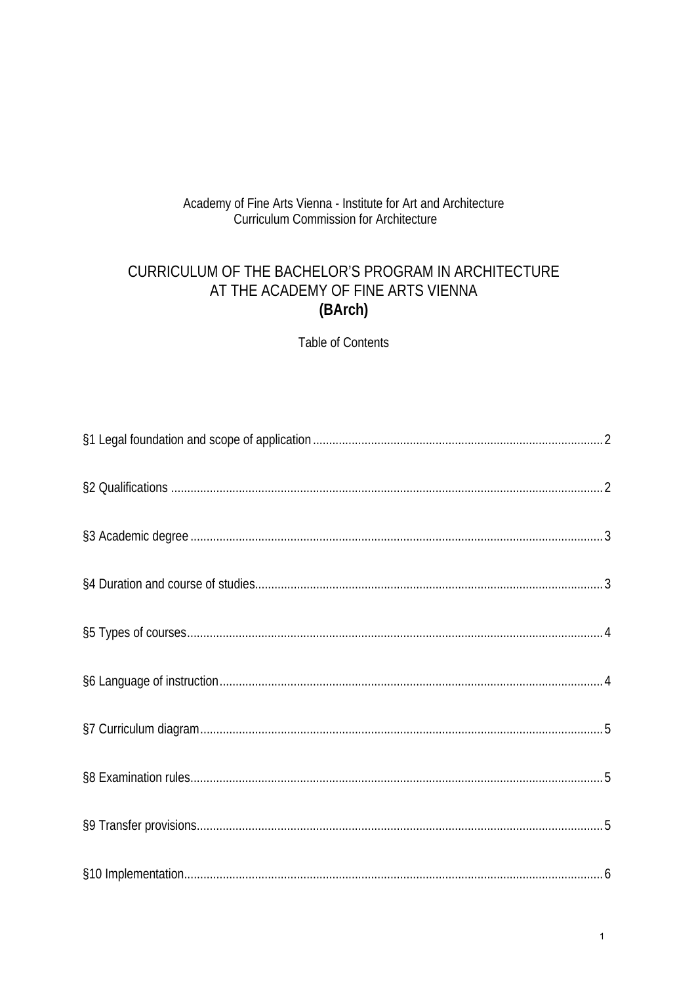# Academy of Fine Arts Vienna - Institute for Art and Architecture<br>Curriculum Commission for Architecture

# CURRICULUM OF THE BACHELOR'S PROGRAM IN ARCHITECTURE AT THE ACADEMY OF FINE ARTS VIENNA (BArch)

**Table of Contents**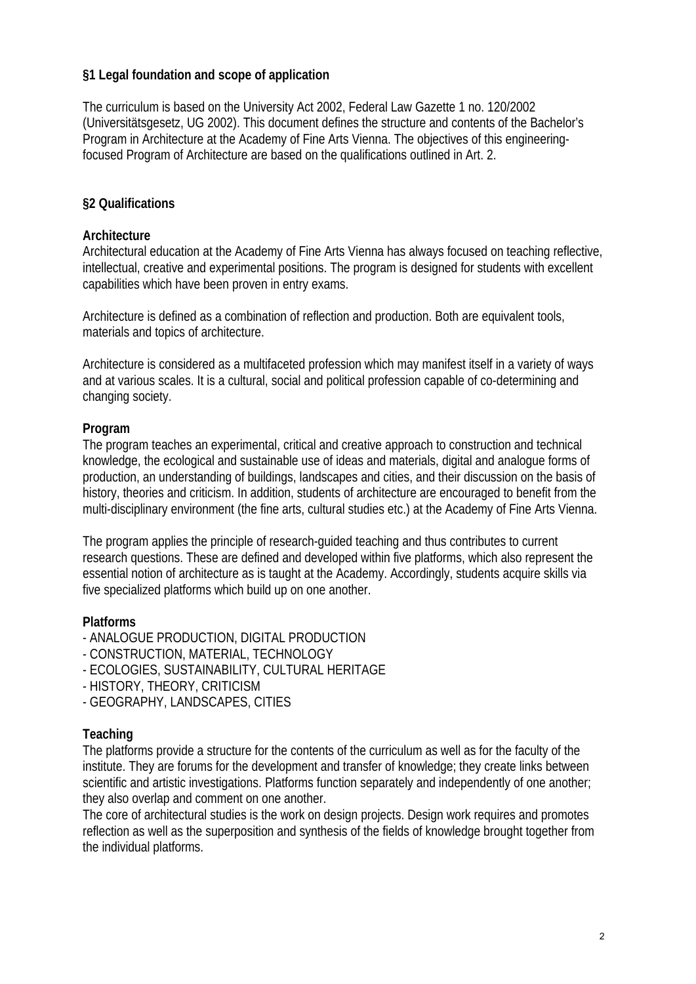## **§1 Legal foundation and scope of application**

The curriculum is based on the University Act 2002, Federal Law Gazette 1 no. 120/2002 (Universitätsgesetz, UG 2002). This document defines the structure and contents of the Bachelor's Program in Architecture at the Academy of Fine Arts Vienna. The objectives of this engineeringfocused Program of Architecture are based on the qualifications outlined in Art. 2.

## **§2 Qualifications**

#### **Architecture**

Architectural education at the Academy of Fine Arts Vienna has always focused on teaching reflective, intellectual, creative and experimental positions. The program is designed for students with excellent capabilities which have been proven in entry exams.

Architecture is defined as a combination of reflection and production. Both are equivalent tools, materials and topics of architecture.

Architecture is considered as a multifaceted profession which may manifest itself in a variety of ways and at various scales. It is a cultural, social and political profession capable of co-determining and changing society.

#### **Program**

The program teaches an experimental, critical and creative approach to construction and technical knowledge, the ecological and sustainable use of ideas and materials, digital and analogue forms of production, an understanding of buildings, landscapes and cities, and their discussion on the basis of history, theories and criticism. In addition, students of architecture are encouraged to benefit from the multi-disciplinary environment (the fine arts, cultural studies etc.) at the Academy of Fine Arts Vienna.

The program applies the principle of research-guided teaching and thus contributes to current research questions. These are defined and developed within five platforms, which also represent the essential notion of architecture as is taught at the Academy. Accordingly, students acquire skills via five specialized platforms which build up on one another.

#### **Platforms**

- ANALOGUE PRODUCTION, DIGITAL PRODUCTION
- CONSTRUCTION, MATERIAL, TECHNOLOGY
- ECOLOGIES, SUSTAINABILITY, CULTURAL HERITAGE
- HISTORY, THEORY, CRITICISM
- GEOGRAPHY, LANDSCAPES, CITIES

#### **Teaching**

The platforms provide a structure for the contents of the curriculum as well as for the faculty of the institute. They are forums for the development and transfer of knowledge; they create links between scientific and artistic investigations. Platforms function separately and independently of one another; they also overlap and comment on one another.

The core of architectural studies is the work on design projects. Design work requires and promotes reflection as well as the superposition and synthesis of the fields of knowledge brought together from the individual platforms.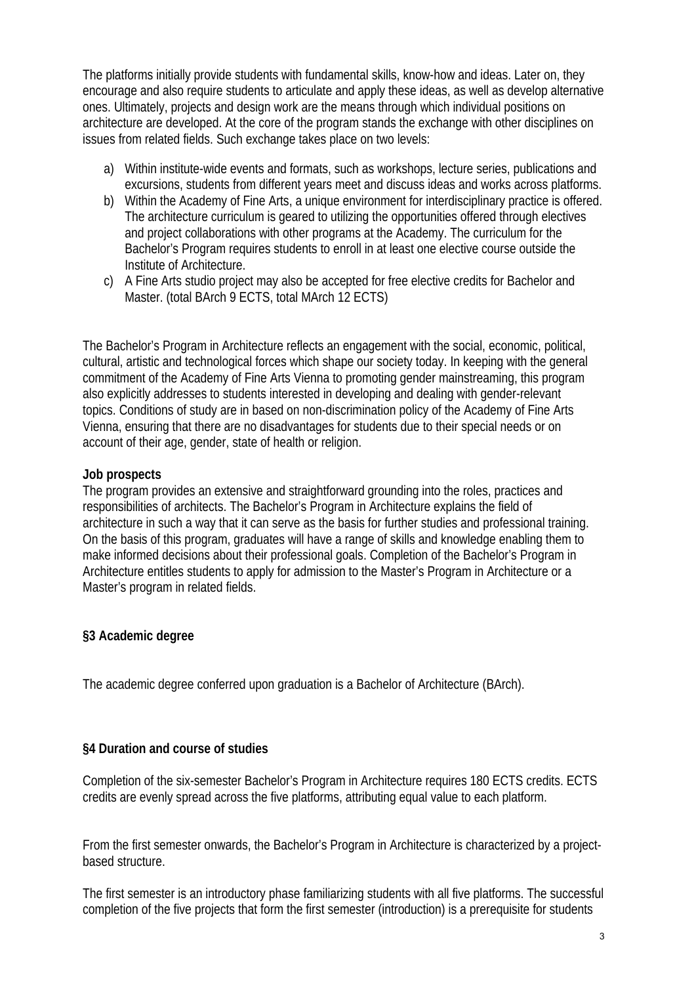The platforms initially provide students with fundamental skills, know-how and ideas. Later on, they encourage and also require students to articulate and apply these ideas, as well as develop alternative ones. Ultimately, projects and design work are the means through which individual positions on architecture are developed. At the core of the program stands the exchange with other disciplines on issues from related fields. Such exchange takes place on two levels:

- a) Within institute-wide events and formats, such as workshops, lecture series, publications and excursions, students from different years meet and discuss ideas and works across platforms.
- b) Within the Academy of Fine Arts, a unique environment for interdisciplinary practice is offered. The architecture curriculum is geared to utilizing the opportunities offered through electives and project collaborations with other programs at the Academy. The curriculum for the Bachelor's Program requires students to enroll in at least one elective course outside the Institute of Architecture.
- c) A Fine Arts studio project may also be accepted for free elective credits for Bachelor and Master. (total BArch 9 ECTS, total MArch 12 ECTS)

The Bachelor's Program in Architecture reflects an engagement with the social, economic, political, cultural, artistic and technological forces which shape our society today. In keeping with the general commitment of the Academy of Fine Arts Vienna to promoting gender mainstreaming, this program also explicitly addresses to students interested in developing and dealing with gender-relevant topics. Conditions of study are in based on non-discrimination policy of the Academy of Fine Arts Vienna, ensuring that there are no disadvantages for students due to their special needs or on account of their age, gender, state of health or religion.

#### **Job prospects**

The program provides an extensive and straightforward grounding into the roles, practices and responsibilities of architects. The Bachelor's Program in Architecture explains the field of architecture in such a way that it can serve as the basis for further studies and professional training. On the basis of this program, graduates will have a range of skills and knowledge enabling them to make informed decisions about their professional goals. Completion of the Bachelor's Program in Architecture entitles students to apply for admission to the Master's Program in Architecture or a Master's program in related fields.

## **§3 Academic degree**

The academic degree conferred upon graduation is a Bachelor of Architecture (BArch).

## **§4 Duration and course of studies**

Completion of the six-semester Bachelor's Program in Architecture requires 180 ECTS credits. ECTS credits are evenly spread across the five platforms, attributing equal value to each platform.

From the first semester onwards, the Bachelor's Program in Architecture is characterized by a projectbased structure.

The first semester is an introductory phase familiarizing students with all five platforms. The successful completion of the five projects that form the first semester (introduction) is a prerequisite for students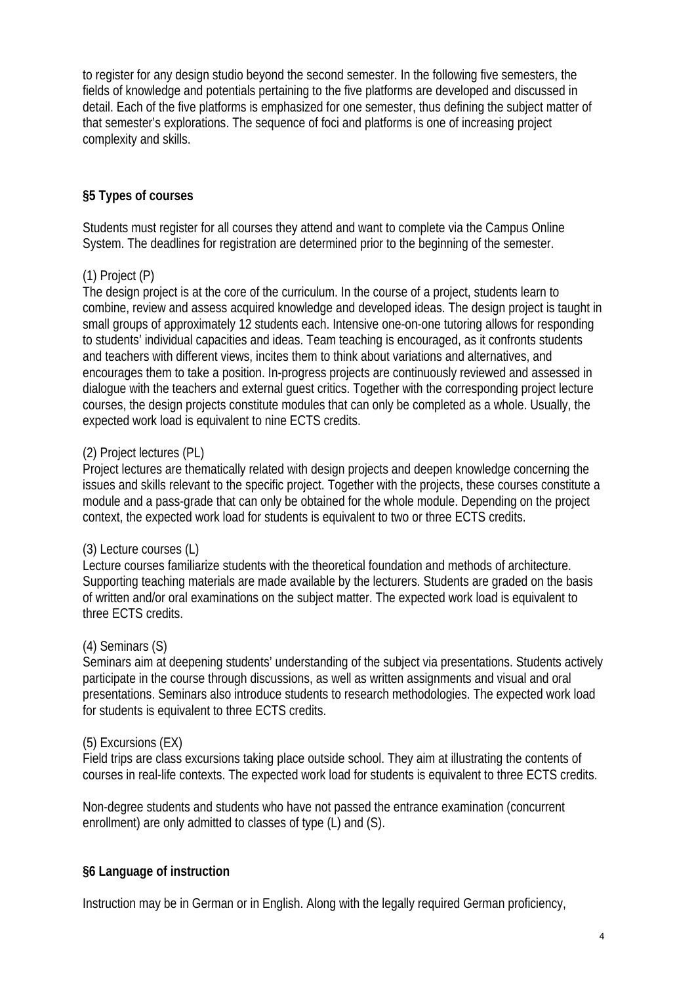to register for any design studio beyond the second semester. In the following five semesters, the fields of knowledge and potentials pertaining to the five platforms are developed and discussed in detail. Each of the five platforms is emphasized for one semester, thus defining the subject matter of that semester's explorations. The sequence of foci and platforms is one of increasing project complexity and skills.

## **§5 Types of courses**

Students must register for all courses they attend and want to complete via the Campus Online System. The deadlines for registration are determined prior to the beginning of the semester.

## (1) Project (P)

The design project is at the core of the curriculum. In the course of a project, students learn to combine, review and assess acquired knowledge and developed ideas. The design project is taught in small groups of approximately 12 students each. Intensive one-on-one tutoring allows for responding to students' individual capacities and ideas. Team teaching is encouraged, as it confronts students and teachers with different views, incites them to think about variations and alternatives, and encourages them to take a position. In-progress projects are continuously reviewed and assessed in dialogue with the teachers and external guest critics. Together with the corresponding project lecture courses, the design projects constitute modules that can only be completed as a whole. Usually, the expected work load is equivalent to nine ECTS credits.

#### (2) Project lectures (PL)

Project lectures are thematically related with design projects and deepen knowledge concerning the issues and skills relevant to the specific project. Together with the projects, these courses constitute a module and a pass-grade that can only be obtained for the whole module. Depending on the project context, the expected work load for students is equivalent to two or three ECTS credits.

#### (3) Lecture courses (L)

Lecture courses familiarize students with the theoretical foundation and methods of architecture. Supporting teaching materials are made available by the lecturers. Students are graded on the basis of written and/or oral examinations on the subject matter. The expected work load is equivalent to three ECTS credits.

#### (4) Seminars (S)

Seminars aim at deepening students' understanding of the subject via presentations. Students actively participate in the course through discussions, as well as written assignments and visual and oral presentations. Seminars also introduce students to research methodologies. The expected work load for students is equivalent to three ECTS credits.

#### (5) Excursions (EX)

Field trips are class excursions taking place outside school. They aim at illustrating the contents of courses in real-life contexts. The expected work load for students is equivalent to three ECTS credits.

Non-degree students and students who have not passed the entrance examination (concurrent enrollment) are only admitted to classes of type (L) and (S).

#### **§6 Language of instruction**

Instruction may be in German or in English. Along with the legally required German proficiency,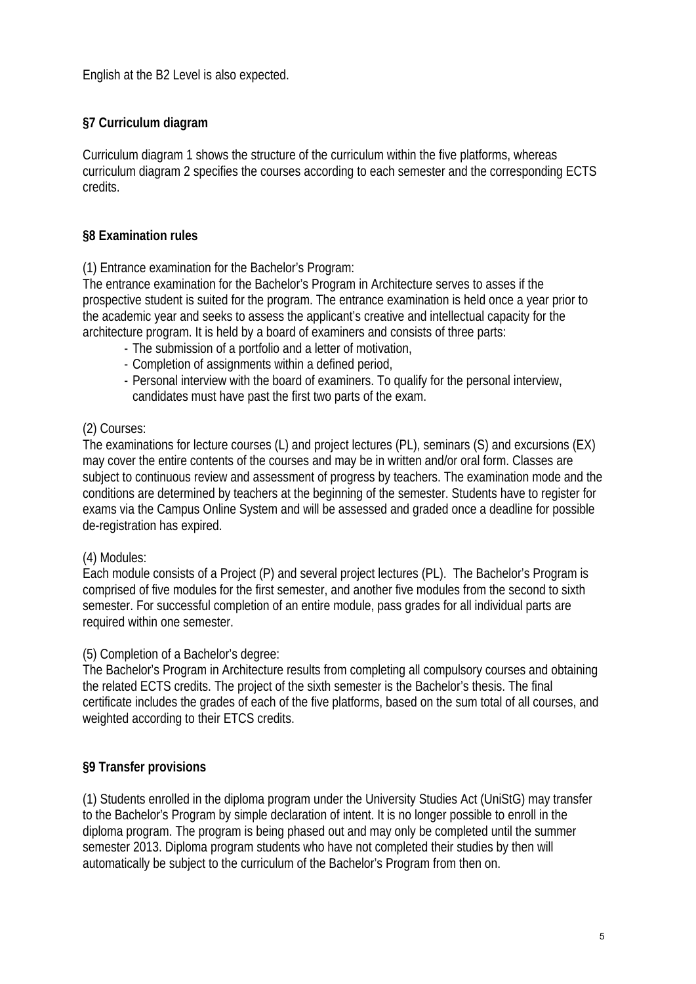English at the B2 Level is also expected.

# **§7 Curriculum diagram**

Curriculum diagram 1 shows the structure of the curriculum within the five platforms, whereas curriculum diagram 2 specifies the courses according to each semester and the corresponding ECTS credits.

## **§8 Examination rules**

(1) Entrance examination for the Bachelor's Program:

The entrance examination for the Bachelor's Program in Architecture serves to asses if the prospective student is suited for the program. The entrance examination is held once a year prior to the academic year and seeks to assess the applicant's creative and intellectual capacity for the architecture program. It is held by a board of examiners and consists of three parts:

- The submission of a portfolio and a letter of motivation,
- Completion of assignments within a defined period,
- Personal interview with the board of examiners. To qualify for the personal interview, candidates must have past the first two parts of the exam.

## (2) Courses:

The examinations for lecture courses (L) and project lectures (PL), seminars (S) and excursions (EX) may cover the entire contents of the courses and may be in written and/or oral form. Classes are subject to continuous review and assessment of progress by teachers. The examination mode and the conditions are determined by teachers at the beginning of the semester. Students have to register for exams via the Campus Online System and will be assessed and graded once a deadline for possible de-registration has expired.

## (4) Modules:

Each module consists of a Project (P) and several project lectures (PL). The Bachelor's Program is comprised of five modules for the first semester, and another five modules from the second to sixth semester. For successful completion of an entire module, pass grades for all individual parts are required within one semester.

## (5) Completion of a Bachelor's degree:

The Bachelor's Program in Architecture results from completing all compulsory courses and obtaining the related ECTS credits. The project of the sixth semester is the Bachelor's thesis. The final certificate includes the grades of each of the five platforms, based on the sum total of all courses, and weighted according to their ETCS credits.

## **§9 Transfer provisions**

(1) Students enrolled in the diploma program under the University Studies Act (UniStG) may transfer to the Bachelor's Program by simple declaration of intent. It is no longer possible to enroll in the diploma program. The program is being phased out and may only be completed until the summer semester 2013. Diploma program students who have not completed their studies by then will automatically be subject to the curriculum of the Bachelor's Program from then on.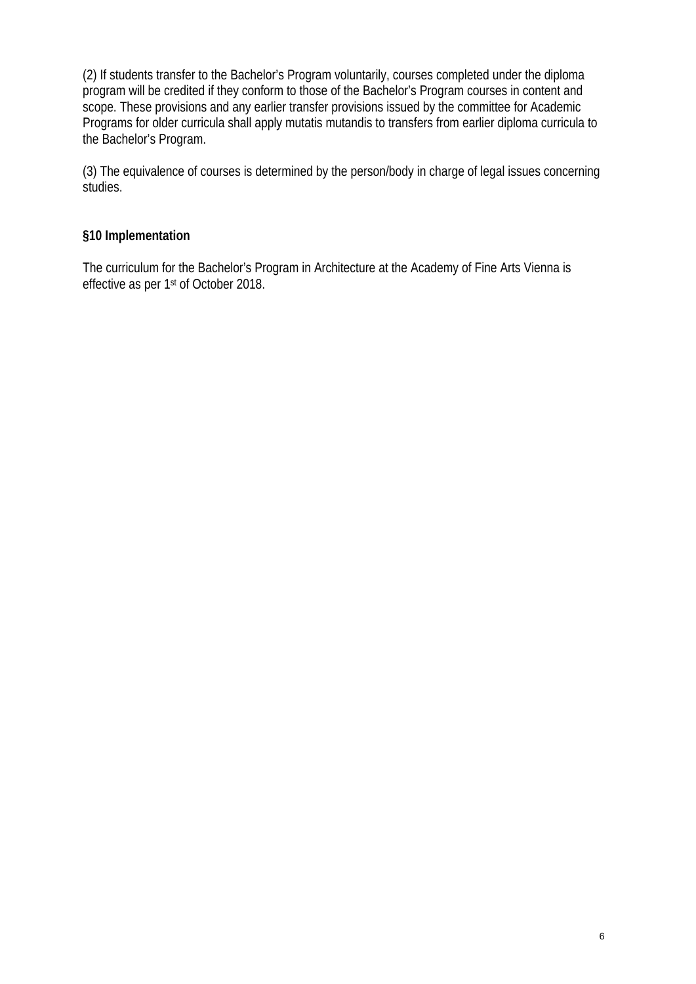(2) If students transfer to the Bachelor's Program voluntarily, courses completed under the diploma program will be credited if they conform to those of the Bachelor's Program courses in content and scope. These provisions and any earlier transfer provisions issued by the committee for Academic Programs for older curricula shall apply mutatis mutandis to transfers from earlier diploma curricula to the Bachelor's Program.

(3) The equivalence of courses is determined by the person/body in charge of legal issues concerning studies.

#### **§10 Implementation**

The curriculum for the Bachelor's Program in Architecture at the Academy of Fine Arts Vienna is effective as per 1st of October 2018.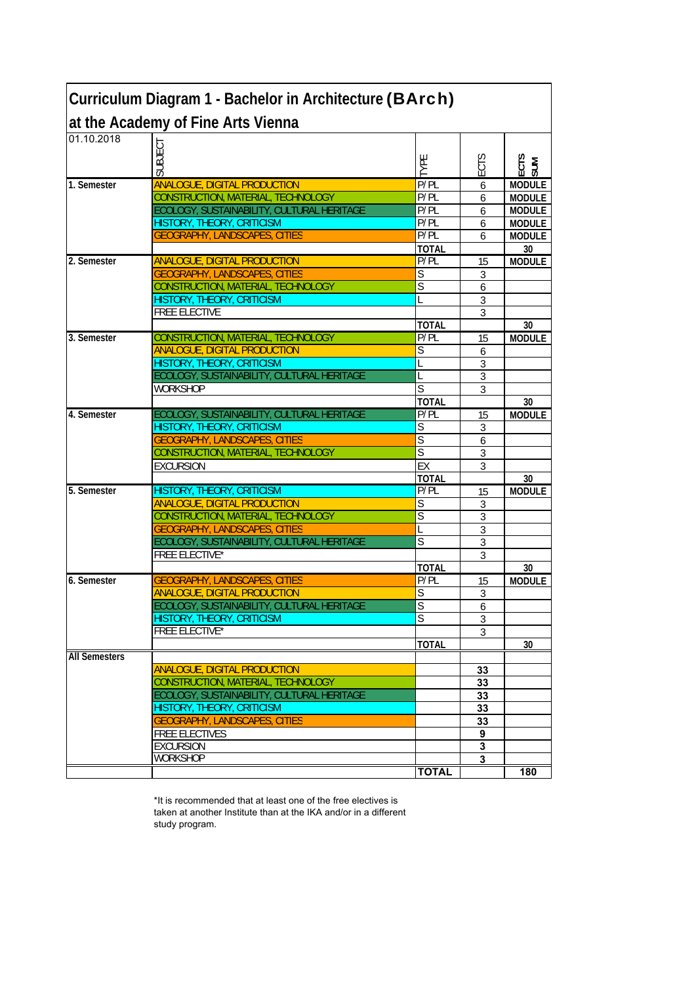| Curriculum Diagram 1 - Bachelor in Architecture (BArch) |                                            |                         |                         |               |  |  |  |  |  |
|---------------------------------------------------------|--------------------------------------------|-------------------------|-------------------------|---------------|--|--|--|--|--|
|                                                         | at the Academy of Fine Arts Vienna         |                         |                         |               |  |  |  |  |  |
| 01.10.2018                                              |                                            |                         |                         |               |  |  |  |  |  |
|                                                         | SUBJECT                                    |                         |                         |               |  |  |  |  |  |
|                                                         |                                            | IYPE                    | ECTS                    | ECTS<br>SUM   |  |  |  |  |  |
| 1. Semester                                             | <b>ANALOGUE, DIGITAL PRODUCTION</b>        | P/PL                    | 6                       | <b>MODULE</b> |  |  |  |  |  |
|                                                         | CONSTRUCTION, MATERIAL, TECHNOLOGY         | P/PL                    | 6                       | <b>MODULE</b> |  |  |  |  |  |
|                                                         | ECOLOGY, SUSTAINABILITY, CULTURAL HERITAGE | P/PL                    | 6                       | <b>MODULE</b> |  |  |  |  |  |
|                                                         | HISTORY, THEORY, CRITICISM                 | P/PL                    | 6                       | <b>MODULE</b> |  |  |  |  |  |
|                                                         | <b>GEOGRAPHY, LANDSCAPES, CITIES</b>       | P/PL                    | 6                       | <b>MODULE</b> |  |  |  |  |  |
|                                                         |                                            | <b>TOTAL</b>            |                         | 30            |  |  |  |  |  |
| 2. Semester                                             | <b>ANALOGUE, DIGITAL PRODUCTION</b>        | P/PL                    | 15                      | <b>MODULE</b> |  |  |  |  |  |
|                                                         | <b>GEOGRAPHY, LANDSCAPES, CITIES</b>       | S                       | 3                       |               |  |  |  |  |  |
|                                                         | CONSTRUCTION, MATERIAL, TECHNOLOGY         | S                       | 6                       |               |  |  |  |  |  |
|                                                         | HISTORY, THEORY, CRITICISM                 | L                       | 3                       |               |  |  |  |  |  |
|                                                         | <b>FREE ELECTIVE</b>                       |                         | 3                       |               |  |  |  |  |  |
|                                                         |                                            | <b>TOTAL</b>            |                         | 30            |  |  |  |  |  |
| 3. Semester                                             | CONSTRUCTION, MATERIAL, TECHNOLOGY         | P/PL                    | 15                      | <b>MODULE</b> |  |  |  |  |  |
|                                                         | <b>ANALOGUE, DIGITAL PRODUCTION</b>        | S                       | 6                       |               |  |  |  |  |  |
|                                                         | <b>HISTORY, THEORY, CRITICISM</b>          |                         | 3                       |               |  |  |  |  |  |
|                                                         | ECOLOGY, SUSTAINABILITY, CULTURAL HERITAGE |                         | 3                       |               |  |  |  |  |  |
|                                                         | <b>WORKSHOP</b>                            | $\overline{\mathsf{S}}$ | 3                       |               |  |  |  |  |  |
|                                                         |                                            | <b>TOTAL</b>            |                         | 30            |  |  |  |  |  |
| 4. Semester                                             | ECOLOGY, SUSTAINABILITY, CULTURAL HERITAGE | P/PL                    | 15                      | <b>MODULE</b> |  |  |  |  |  |
|                                                         | <b>HISTORY, THEORY, CRITICISM</b>          | S                       | 3                       |               |  |  |  |  |  |
|                                                         | <b>GEOGRAPHY, LANDSCAPES, CITIES</b>       | $\overline{\mathsf{S}}$ | 6                       |               |  |  |  |  |  |
|                                                         | CONSTRUCTION, MATERIAL, TECHNOLOGY         | S                       | 3                       |               |  |  |  |  |  |
|                                                         | <b>EXCURSION</b>                           | EX                      | 3                       |               |  |  |  |  |  |
|                                                         |                                            | <b>TOTAL</b>            |                         | 30            |  |  |  |  |  |
| 5. Semester                                             | <b>HISTORY, THEORY, CRITICISM</b>          | P/PL                    | 15                      | <b>MODULE</b> |  |  |  |  |  |
|                                                         | <b>ANALOGUE, DIGITAL PRODUCTION</b>        | S                       | 3                       |               |  |  |  |  |  |
|                                                         | CONSTRUCTION, MATERIAL, TECHNOLOGY         | S                       | 3                       |               |  |  |  |  |  |
|                                                         | <b>GEOGRAPHY, LANDSCAPES, CITIES</b>       | L                       | 3                       |               |  |  |  |  |  |
|                                                         | ECOLOGY, SUSTAINABILITY, CULTURAL HERITAGE | S                       | 3                       |               |  |  |  |  |  |
|                                                         | <b>FREE ELECTIVE*</b>                      |                         | 3                       |               |  |  |  |  |  |
| 6. Semester                                             | <b>GEOGRAPHY, LANDSCAPES, CITIES</b>       | <b>TOTAL</b><br>P/PL    |                         | 30            |  |  |  |  |  |
|                                                         | <b>ANALOGUE, DIGITAL PRODUCTION</b>        | $\overline{\mathsf{S}}$ | 15                      | <b>MODULE</b> |  |  |  |  |  |
|                                                         | ECOLOGY, SUSTAINABILITY, CULTURAL HERITAGE | S                       | 3<br>6                  |               |  |  |  |  |  |
|                                                         | <b>HISTORY, THEORY, CRITICISM</b>          | Ś                       | 3                       |               |  |  |  |  |  |
|                                                         | FREE ELECTIVE*                             |                         | 3                       |               |  |  |  |  |  |
|                                                         |                                            | <b>TOTAL</b>            |                         | 30            |  |  |  |  |  |
| <b>All Semesters</b>                                    |                                            |                         |                         |               |  |  |  |  |  |
|                                                         | <b>ANALOGUE, DIGITAL PRODUCTION</b>        |                         | 33                      |               |  |  |  |  |  |
|                                                         | CONSTRUCTION, MATERIAL, TECHNOLOGY         |                         | 33                      |               |  |  |  |  |  |
|                                                         | ECOLOGY, SUSTAINABILITY, CULTURAL HERITAGE |                         | 33                      |               |  |  |  |  |  |
|                                                         | HISTORY, THEORY, CRITICISM                 |                         | 33                      |               |  |  |  |  |  |
|                                                         | <b>GEOGRAPHY, LANDSCAPES, CITIES</b>       |                         | 33                      |               |  |  |  |  |  |
|                                                         | <b>FREE ELECTIVES</b>                      |                         | 9                       |               |  |  |  |  |  |
|                                                         | <b>EXCURSION</b>                           |                         | 3                       |               |  |  |  |  |  |
|                                                         | <b>WORKSHOP</b>                            |                         | $\overline{\mathbf{3}}$ |               |  |  |  |  |  |
|                                                         |                                            | <b>TOTAL</b>            |                         | 180           |  |  |  |  |  |
|                                                         |                                            |                         |                         |               |  |  |  |  |  |

\*It is recommended that at least one of the free electives is taken at another Institute than at the IKA and/or in a different study program.